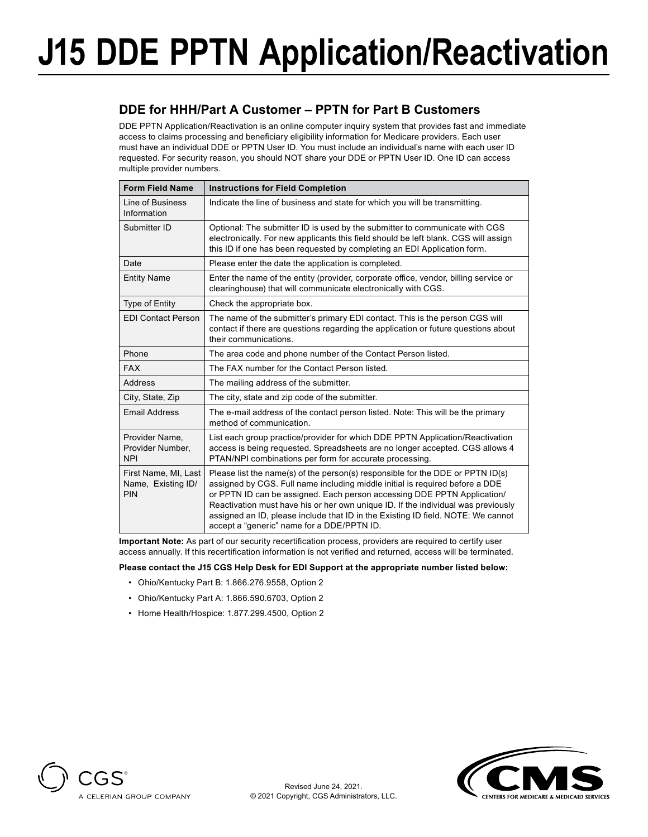# **J15 DDE PPTN Application/Reactivation**

### **DDE for HHH/Part A Customer – PPTN for Part B Customers**

DDE PPTN Application/Reactivation is an online computer inquiry system that provides fast and immediate access to claims processing and beneficiary eligibility information for Medicare providers. Each user must have an individual DDE or PPTN User ID. You must include an individual's name with each user ID requested. For security reason, you should NOT share your DDE or PPTN User ID. One ID can access multiple provider numbers.

| <b>Form Field Name</b>                            | <b>Instructions for Field Completion</b>                                                                                                                                                                                                                                                                                                                                                                                                                           |  |  |  |  |
|---------------------------------------------------|--------------------------------------------------------------------------------------------------------------------------------------------------------------------------------------------------------------------------------------------------------------------------------------------------------------------------------------------------------------------------------------------------------------------------------------------------------------------|--|--|--|--|
| Line of Business<br>Information                   | Indicate the line of business and state for which you will be transmitting.                                                                                                                                                                                                                                                                                                                                                                                        |  |  |  |  |
| Submitter ID                                      | Optional: The submitter ID is used by the submitter to communicate with CGS<br>electronically. For new applicants this field should be left blank. CGS will assign<br>this ID if one has been requested by completing an EDI Application form.                                                                                                                                                                                                                     |  |  |  |  |
| Date                                              | Please enter the date the application is completed.                                                                                                                                                                                                                                                                                                                                                                                                                |  |  |  |  |
| <b>Entity Name</b>                                | Enter the name of the entity (provider, corporate office, vendor, billing service or<br>clearinghouse) that will communicate electronically with CGS.                                                                                                                                                                                                                                                                                                              |  |  |  |  |
| <b>Type of Entity</b>                             | Check the appropriate box.                                                                                                                                                                                                                                                                                                                                                                                                                                         |  |  |  |  |
| <b>EDI Contact Person</b>                         | The name of the submitter's primary EDI contact. This is the person CGS will<br>contact if there are questions regarding the application or future questions about<br>their communications.                                                                                                                                                                                                                                                                        |  |  |  |  |
| Phone                                             | The area code and phone number of the Contact Person listed.                                                                                                                                                                                                                                                                                                                                                                                                       |  |  |  |  |
| <b>FAX</b>                                        | The FAX number for the Contact Person listed.                                                                                                                                                                                                                                                                                                                                                                                                                      |  |  |  |  |
| Address                                           | The mailing address of the submitter.                                                                                                                                                                                                                                                                                                                                                                                                                              |  |  |  |  |
| City, State, Zip                                  | The city, state and zip code of the submitter.                                                                                                                                                                                                                                                                                                                                                                                                                     |  |  |  |  |
| <b>Email Address</b>                              | The e-mail address of the contact person listed. Note: This will be the primary<br>method of communication.                                                                                                                                                                                                                                                                                                                                                        |  |  |  |  |
| Provider Name,<br>Provider Number,<br><b>NPI</b>  | List each group practice/provider for which DDE PPTN Application/Reactivation<br>access is being requested. Spreadsheets are no longer accepted. CGS allows 4<br>PTAN/NPI combinations per form for accurate processing.                                                                                                                                                                                                                                           |  |  |  |  |
| First Name, MI, Last<br>Name, Existing ID/<br>PIN | Please list the name(s) of the person(s) responsible for the DDE or PPTN $ID(s)$<br>assigned by CGS. Full name including middle initial is required before a DDE<br>or PPTN ID can be assigned. Each person accessing DDE PPTN Application/<br>Reactivation must have his or her own unique ID. If the individual was previously<br>assigned an ID, please include that ID in the Existing ID field. NOTE: We cannot<br>accept a "generic" name for a DDE/PPTN ID. |  |  |  |  |

**Important Note:** As part of our security recertification process, providers are required to certify user access annually. If this recertification information is not verified and returned, access will be terminated.

### **Please contact the J15 CGS Help Desk for EDI Support at the appropriate number listed below:**

- Ohio/Kentucky Part B: 1.866.276.9558, Option 2
- Ohio/Kentucky Part A: 1.866.590.6703, Option 2
- Home Health/Hospice: 1.877.299.4500, Option 2